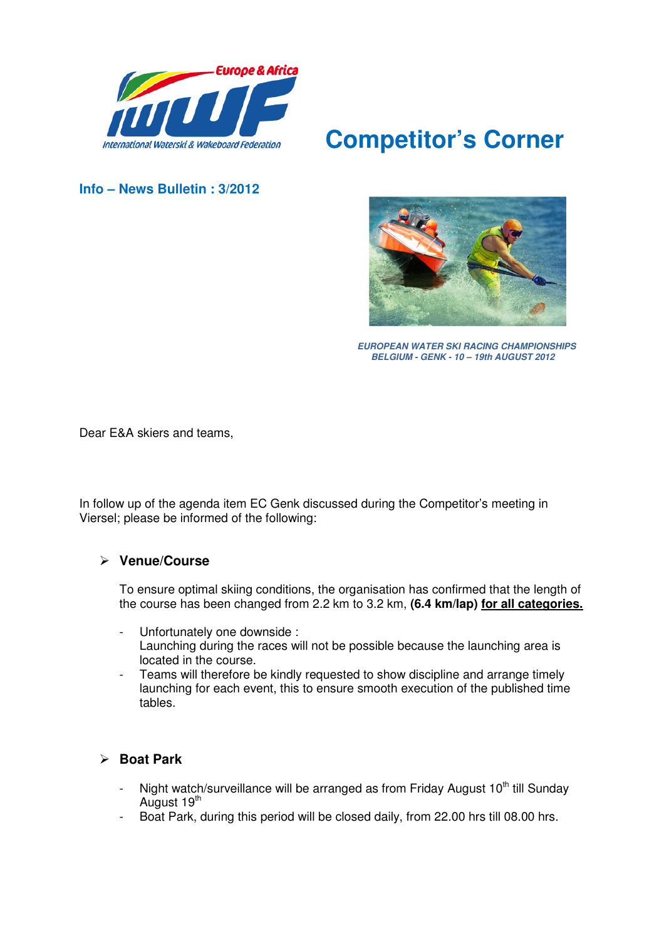

# **Competitor's Corner**

**Info – News Bulletin : 3/2012** 



 **EUROPEAN WATER SKI RACING CHAMPIONSHIPS BELGIUM - GENK - 10 – 19th AUGUST 2012**

Dear E&A skiers and teams,

In follow up of the agenda item EC Genk discussed during the Competitor's meeting in Viersel; please be informed of the following:

#### **Venue/Course**

To ensure optimal skiing conditions, the organisation has confirmed that the length of the course has been changed from 2.2 km to 3.2 km, **(6.4 km/lap) for all categories.**

- Unfortunately one downside : Launching during the races will not be possible because the launching area is located in the course.
- Teams will therefore be kindly requested to show discipline and arrange timely launching for each event, this to ensure smooth execution of the published time tables.

#### **Boat Park**

- Night watch/surveillance will be arranged as from Friday August  $10<sup>th</sup>$  till Sunday August 19<sup>th</sup>
- Boat Park, during this period will be closed daily, from 22.00 hrs till 08.00 hrs.